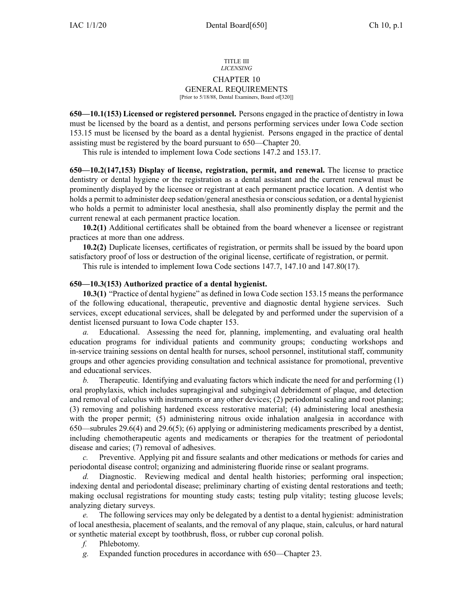#### TITLE III *LICENSING*

## CHAPTER 10

# GENERAL REQUIREMENTS

## [Prior to 5/18/88, Dental Examiners, Board of[320]]

**650—10.1(153) Licensed or registered personnel.** Persons engaged in the practice of dentistry in Iowa must be licensed by the board as <sup>a</sup> dentist, and persons performing services under Iowa Code section [153.15](https://www.legis.iowa.gov/docs/ico/section/153.15.pdf) must be licensed by the board as <sup>a</sup> dental hygienist. Persons engaged in the practice of dental assisting must be registered by the board pursuan<sup>t</sup> to [650—Chapter](https://www.legis.iowa.gov/docs/iac/chapter/650.20.pdf) 20.

This rule is intended to implement Iowa Code sections [147.2](https://www.legis.iowa.gov/docs/ico/section/147.2.pdf) and [153.17](https://www.legis.iowa.gov/docs/ico/section/153.17.pdf).

**650—10.2(147,153) Display of license, registration, permit, and renewal.** The license to practice dentistry or dental hygiene or the registration as <sup>a</sup> dental assistant and the current renewal must be prominently displayed by the licensee or registrant at each permanen<sup>t</sup> practice location. A dentist who holds <sup>a</sup> permit to administer deep sedation/general anesthesia or conscious sedation, or <sup>a</sup> dental hygienist who holds <sup>a</sup> permit to administer local anesthesia, shall also prominently display the permit and the current renewal at each permanen<sup>t</sup> practice location.

**10.2(1)** Additional certificates shall be obtained from the board whenever <sup>a</sup> licensee or registrant practices at more than one address.

**10.2(2)** Duplicate licenses, certificates of registration, or permits shall be issued by the board upon satisfactory proof of loss or destruction of the original license, certificate of registration, or permit.

This rule is intended to implement Iowa Code sections [147.7](https://www.legis.iowa.gov/docs/ico/section/147.7.pdf), [147.10](https://www.legis.iowa.gov/docs/ico/section/147.10.pdf) and [147.80\(17\)](https://www.legis.iowa.gov/docs/ico/section/147.80.pdf).

## **650—10.3(153) Authorized practice of <sup>a</sup> dental hygienist.**

**10.3(1)** "Practice of dental hygiene" as defined in Iowa Code section [153.15](https://www.legis.iowa.gov/docs/ico/section/153.15.pdf) means the performance of the following educational, therapeutic, preventive and diagnostic dental hygiene services. Such services, excep<sup>t</sup> educational services, shall be delegated by and performed under the supervision of <sup>a</sup> dentist licensed pursuan<sup>t</sup> to Iowa Code chapter [153](https://www.legis.iowa.gov/docs/ico/chapter/153.pdf).

Educational. Assessing the need for, planning, implementing, and evaluating oral health education programs for individual patients and community groups; conducting workshops and in-service training sessions on dental health for nurses, school personnel, institutional staff, community groups and other agencies providing consultation and technical assistance for promotional, preventive and educational services.

*b.* Therapeutic. Identifying and evaluating factors which indicate the need for and performing (1) oral prophylaxis, which includes supragingival and subgingival debridement of plaque, and detection and removal of calculus with instruments or any other devices; (2) periodontal scaling and root planing; (3) removing and polishing hardened excess restorative material; (4) administering local anesthesia with the proper permit; (5) administering nitrous oxide inhalation analgesia in accordance with [650—subrules](https://www.legis.iowa.gov/docs/iac/rule/650.29.6.pdf) 29.6(4) and [29.6\(5\)](https://www.legis.iowa.gov/docs/iac/rule/650.29.6.pdf); [\(6\)](https://www.legis.iowa.gov/docs/iac/rule/650.29.6.pdf) applying or administering medicaments prescribed by <sup>a</sup> dentist, including chemotherapeutic agents and medicaments or therapies for the treatment of periodontal disease and caries; (7) removal of adhesives.

*c.* Preventive. Applying pit and fissure sealants and other medications or methods for caries and periodontal disease control; organizing and administering fluoride rinse or sealant programs.

*d.* Diagnostic. Reviewing medical and dental health histories; performing oral inspection; indexing dental and periodontal disease; preliminary charting of existing dental restorations and teeth; making occlusal registrations for mounting study casts; testing pulp vitality; testing glucose levels; analyzing dietary surveys.

*e.* The following services may only be delegated by <sup>a</sup> dentist to <sup>a</sup> dental hygienist: administration of local anesthesia, placement of sealants, and the removal of any plaque, stain, calculus, or hard natural or synthetic material excep<sup>t</sup> by toothbrush, floss, or rubber cup coronal polish.

*f.* Phlebotomy.

*g.* Expanded function procedures in accordance with [650—Chapter](https://www.legis.iowa.gov/docs/iac/chapter/650.23.pdf) 23.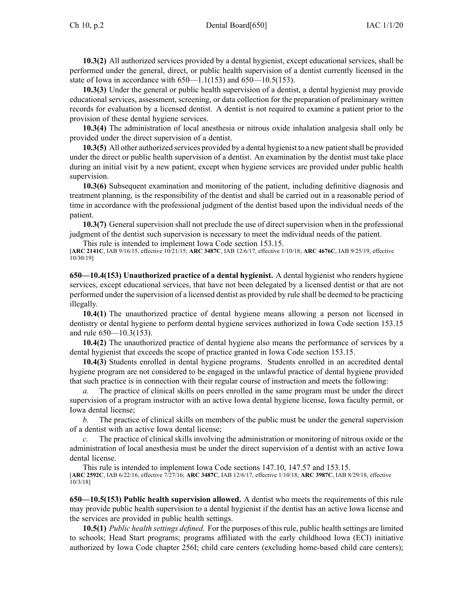**10.3(2)** All authorized services provided by <sup>a</sup> dental hygienist, excep<sup>t</sup> educational services, shall be performed under the general, direct, or public health supervision of <sup>a</sup> dentist currently licensed in the state of Iowa in accordance with [650—1.1](https://www.legis.iowa.gov/docs/iac/rule/650.1.1.pdf)(153) and [650—10.5](https://www.legis.iowa.gov/docs/iac/rule/650.10.5.pdf)(153).

**10.3(3)** Under the general or public health supervision of <sup>a</sup> dentist, <sup>a</sup> dental hygienist may provide educational services, assessment, screening, or data collection for the preparation of preliminary written records for evaluation by <sup>a</sup> licensed dentist. A dentist is not required to examine <sup>a</sup> patient prior to the provision of these dental hygiene services.

**10.3(4)** The administration of local anesthesia or nitrous oxide inhalation analgesia shall only be provided under the direct supervision of <sup>a</sup> dentist.

**10.3(5)** All other authorized services provided by a dental hygienist to a new patient shall be provided under the direct or public health supervision of <sup>a</sup> dentist. An examination by the dentist must take place during an initial visit by <sup>a</sup> new patient, excep<sup>t</sup> when hygiene services are provided under public health supervision.

**10.3(6)** Subsequent examination and monitoring of the patient, including definitive diagnosis and treatment planning, is the responsibility of the dentist and shall be carried out in <sup>a</sup> reasonable period of time in accordance with the professional judgment of the dentist based upon the individual needs of the patient.

**10.3(7)** General supervision shall not preclude the use of direct supervision when in the professional judgment of the dentist such supervision is necessary to meet the individual needs of the patient.

This rule is intended to implement Iowa Code section [153.15](https://www.legis.iowa.gov/docs/ico/section/153.15.pdf).

[**ARC [2141C](https://www.legis.iowa.gov/docs/aco/arc/2141C.pdf)**, IAB 9/16/15, effective 10/21/15; **ARC [3487C](https://www.legis.iowa.gov/docs/aco/arc/3487C.pdf)**, IAB 12/6/17, effective 1/10/18; **ARC [4676C](https://www.legis.iowa.gov/docs/aco/arc/4676C.pdf)**, IAB 9/25/19, effective 10/30/19]

**650—10.4(153) Unauthorized practice of <sup>a</sup> dental hygienist.** A dental hygienist who renders hygiene services, excep<sup>t</sup> educational services, that have not been delegated by <sup>a</sup> licensed dentist or that are not performed under the supervision of <sup>a</sup> licensed dentist as provided by rule shall be deemed to be practicing illegally.

**10.4(1)** The unauthorized practice of dental hygiene means allowing <sup>a</sup> person not licensed in dentistry or dental hygiene to perform dental hygiene services authorized in Iowa Code section [153.15](https://www.legis.iowa.gov/docs/ico/section/153.15.pdf) and rule [650—10.3](https://www.legis.iowa.gov/docs/iac/rule/650.10.3.pdf)(153).

**10.4(2)** The unauthorized practice of dental hygiene also means the performance of services by <sup>a</sup> dental hygienist that exceeds the scope of practice granted in Iowa Code section [153.15](https://www.legis.iowa.gov/docs/ico/section/153.15.pdf).

**10.4(3)** Students enrolled in dental hygiene programs. Students enrolled in an accredited dental hygiene program are not considered to be engaged in the unlawful practice of dental hygiene provided that such practice is in connection with their regular course of instruction and meets the following:

The practice of clinical skills on peers enrolled in the same program must be under the direct supervision of <sup>a</sup> program instructor with an active Iowa dental hygiene license, Iowa faculty permit, or Iowa dental license;

*b.* The practice of clinical skills on members of the public must be under the general supervision of <sup>a</sup> dentist with an active Iowa dental license;

*c.* The practice of clinical skills involving the administration or monitoring of nitrous oxide or the administration of local anesthesia must be under the direct supervision of <sup>a</sup> dentist with an active Iowa dental license.

This rule is intended to implement Iowa Code sections [147.10](https://www.legis.iowa.gov/docs/ico/section/147.10.pdf), [147.57](https://www.legis.iowa.gov/docs/ico/section/147.57.pdf) and [153.15](https://www.legis.iowa.gov/docs/ico/section/153.15.pdf). [**ARC [2592C](https://www.legis.iowa.gov/docs/aco/arc/2592C.pdf)**, IAB 6/22/16, effective 7/27/16; **ARC [3487C](https://www.legis.iowa.gov/docs/aco/arc/3487C.pdf)**, IAB 12/6/17, effective 1/10/18; **ARC [3987C](https://www.legis.iowa.gov/docs/aco/arc/3987C.pdf)**, IAB 8/29/18, effective 10/3/18]

**650—10.5(153) Public health supervision allowed.** A dentist who meets the requirements of this rule may provide public health supervision to <sup>a</sup> dental hygienist if the dentist has an active Iowa license and the services are provided in public health settings.

**10.5(1)** *Public health settings defined.* For the purposes of thisrule, public health settings are limited to schools; Head Start programs; programs affiliated with the early childhood Iowa (ECI) initiative authorized by Iowa Code chapter [256I](https://www.legis.iowa.gov/docs/ico/chapter/256I.pdf); child care centers (excluding home-based child care centers);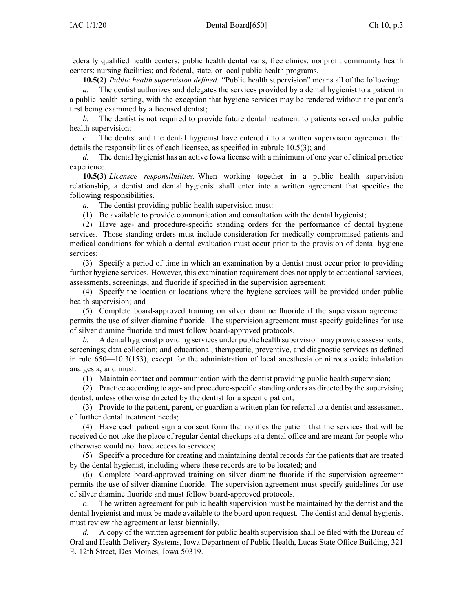federally qualified health centers; public health dental vans; free clinics; nonprofit community health centers; nursing facilities; and federal, state, or local public health programs.

**10.5(2)** *Public health supervision defined.* "Public health supervision" means all of the following:

*a.* The dentist authorizes and delegates the services provided by <sup>a</sup> dental hygienist to <sup>a</sup> patient in <sup>a</sup> public health setting, with the exception that hygiene services may be rendered without the patient's first being examined by <sup>a</sup> licensed dentist;

*b.* The dentist is not required to provide future dental treatment to patients served under public health supervision;

*c.* The dentist and the dental hygienist have entered into <sup>a</sup> written supervision agreemen<sup>t</sup> that details the responsibilities of each licensee, as specified in subrule [10.5\(3\)](https://www.legis.iowa.gov/docs/iac/rule/650.10.5.pdf); and

*d.* The dental hygienist has an active Iowa license with <sup>a</sup> minimum of one year of clinical practice experience.

**10.5(3)** *Licensee responsibilities.* When working together in <sup>a</sup> public health supervision relationship, <sup>a</sup> dentist and dental hygienist shall enter into <sup>a</sup> written agreemen<sup>t</sup> that specifies the following responsibilities.

*a.* The dentist providing public health supervision must:

(1) Be available to provide communication and consultation with the dental hygienist;

(2) Have age- and procedure-specific standing orders for the performance of dental hygiene services. Those standing orders must include consideration for medically compromised patients and medical conditions for which <sup>a</sup> dental evaluation must occur prior to the provision of dental hygiene services;

(3) Specify <sup>a</sup> period of time in which an examination by <sup>a</sup> dentist must occur prior to providing further hygiene services. However, this examination requirement does not apply to educational services, assessments, screenings, and fluoride if specified in the supervision agreement;

(4) Specify the location or locations where the hygiene services will be provided under public health supervision; and

(5) Complete board-approved training on silver diamine fluoride if the supervision agreemen<sup>t</sup> permits the use of silver diamine fluoride. The supervision agreemen<sup>t</sup> must specify guidelines for use of silver diamine fluoride and must follow board-approved protocols.

*b.* A dental hygienist providing services under public health supervision may provide assessments; screenings; data collection; and educational, therapeutic, preventive, and diagnostic services as defined in rule [650—10.3](https://www.legis.iowa.gov/docs/iac/rule/650.10.3.pdf)(153), excep<sup>t</sup> for the administration of local anesthesia or nitrous oxide inhalation analgesia, and must:

(1) Maintain contact and communication with the dentist providing public health supervision;

(2) Practice according to age- and procedure-specific standing orders as directed by the supervising dentist, unless otherwise directed by the dentist for <sup>a</sup> specific patient;

(3) Provide to the patient, parent, or guardian <sup>a</sup> written plan for referral to <sup>a</sup> dentist and assessment of further dental treatment needs;

(4) Have each patient sign <sup>a</sup> consent form that notifies the patient that the services that will be received do not take the place of regular dental checkups at <sup>a</sup> dental office and are meant for people who otherwise would not have access to services;

(5) Specify <sup>a</sup> procedure for creating and maintaining dental records for the patients that are treated by the dental hygienist, including where these records are to be located; and

(6) Complete board-approved training on silver diamine fluoride if the supervision agreemen<sup>t</sup> permits the use of silver diamine fluoride. The supervision agreemen<sup>t</sup> must specify guidelines for use of silver diamine fluoride and must follow board-approved protocols.

The written agreement for public health supervision must be maintained by the dentist and the dental hygienist and must be made available to the board upon request. The dentist and dental hygienist must review the agreemen<sup>t</sup> at least biennially.

*d.* A copy of the written agreemen<sup>t</sup> for public health supervision shall be filed with the Bureau of Oral and Health Delivery Systems, Iowa Department of Public Health, Lucas State Office Building, 321 E. 12th Street, Des Moines, Iowa 50319.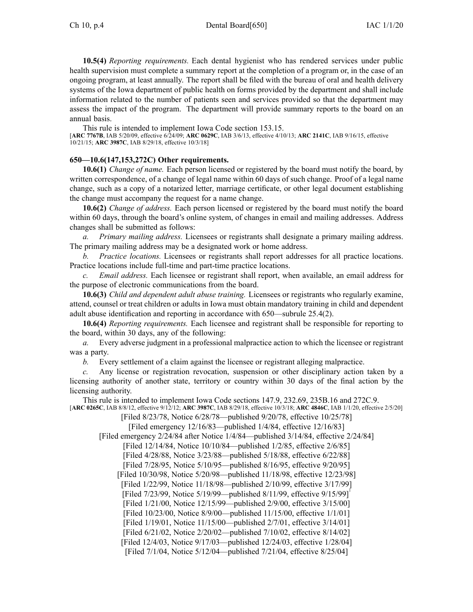**10.5(4)** *Reporting requirements.* Each dental hygienist who has rendered services under public health supervision must complete <sup>a</sup> summary repor<sup>t</sup> at the completion of <sup>a</sup> program or, in the case of an ongoing program, at least annually. The repor<sup>t</sup> shall be filed with the bureau of oral and health delivery systems of the Iowa department of public health on forms provided by the department and shall include information related to the number of patients seen and services provided so that the department may assess the impact of the program. The department will provide summary reports to the board on an annual basis.

This rule is intended to implement Iowa Code section [153.15](https://www.legis.iowa.gov/docs/ico/section/153.15.pdf).

[**ARC [7767B](https://www.legis.iowa.gov/docs/aco/arc/7767B.pdf)**, IAB 5/20/09, effective 6/24/09; **ARC [0629C](https://www.legis.iowa.gov/docs/aco/arc/0629C.pdf)**, IAB 3/6/13, effective 4/10/13; **ARC [2141C](https://www.legis.iowa.gov/docs/aco/arc/2141C.pdf)**, IAB 9/16/15, effective 10/21/15; **ARC [3987C](https://www.legis.iowa.gov/docs/aco/arc/3987C.pdf)**, IAB 8/29/18, effective 10/3/18]

#### **650—10.6(147,153,272C) Other requirements.**

**10.6(1)** *Change of name.* Each person licensed or registered by the board must notify the board, by written correspondence, of <sup>a</sup> change of legal name within 60 days of such change. Proof of <sup>a</sup> legal name change, such as <sup>a</sup> copy of <sup>a</sup> notarized letter, marriage certificate, or other legal document establishing the change must accompany the reques<sup>t</sup> for <sup>a</sup> name change.

**10.6(2)** *Change of address.* Each person licensed or registered by the board must notify the board within 60 days, through the board's online system, of changes in email and mailing addresses. Address changes shall be submitted as follows:

*a. Primary mailing address.* Licensees or registrants shall designate <sup>a</sup> primary mailing address. The primary mailing address may be <sup>a</sup> designated work or home address.

*b. Practice locations.* Licensees or registrants shall repor<sup>t</sup> addresses for all practice locations. Practice locations include full-time and part-time practice locations.

*c. Email address.* Each licensee or registrant shall report, when available, an email address for the purpose of electronic communications from the board.

**10.6(3)** *Child and dependent adult abuse training.* Licensees or registrants who regularly examine, attend, counsel or treat children or adults in Iowa must obtain mandatory training in child and dependent adult abuse identification and reporting in accordance with [650—subrule](https://www.legis.iowa.gov/docs/iac/rule/650.25.4.pdf) 25.4(2).

**10.6(4)** *Reporting requirements.* Each licensee and registrant shall be responsible for reporting to the board, within 30 days, any of the following:

*a.* Every adverse judgment in <sup>a</sup> professional malpractice action to which the licensee or registrant was <sup>a</sup> party.

*b.* Every settlement of <sup>a</sup> claim against the licensee or registrant alleging malpractice.

*c.* Any license or registration revocation, suspension or other disciplinary action taken by <sup>a</sup> licensing authority of another state, territory or country within 30 days of the final action by the licensing authority.

This rule is intended to implement Iowa Code sections [147.9](https://www.legis.iowa.gov/docs/ico/section/147.9.pdf), [232.69](https://www.legis.iowa.gov/docs/ico/section/232.69.pdf), [235B.16](https://www.legis.iowa.gov/docs/ico/section/235B.16.pdf) and [272C.9](https://www.legis.iowa.gov/docs/ico/section/272C.9.pdf). [**ARC [0265C](https://www.legis.iowa.gov/docs/aco/arc/0265C.pdf)**, IAB 8/8/12, effective 9/12/12; **ARC [3987C](https://www.legis.iowa.gov/docs/aco/arc/3987C.pdf)**, IAB 8/29/18, effective 10/3/18; **ARC [4846C](https://www.legis.iowa.gov/docs/aco/arc/4846C.pdf)**, IAB 1/1/20, effective 2/5/20]

[Filed 8/23/78, Notice 6/28/78—published 9/20/78, effective 10/25/78]

[Filed emergency 12/16/83—published 1/4/84, effective 12/16/83]

[Filed emergency 2/24/84 after Notice 1/4/84—published 3/14/84, effective 2/24/84]

[Filed 12/14/84, Notice 10/10/84—published 1/2/85, effective 2/6/85] [Filed 4/28/88, Notice 3/23/88—published 5/18/88, effective 6/22/88]

[Filed 7/28/95, Notice 5/10/95—published 8/16/95, effective 9/20/95]

[Filed 10/30/98, Notice 5/20/98—published 11/18/98, effective 12/23/98]

[Filed 1/22/99, Notice 11/18/98—published 2/10/99, effective 3/17/99]

[Filed 7/23/99, Notice 5/19/99—published 8/11/99, effective 9/15/99]

[Filed 1/21/00, Notice 12/15/99—published 2/9/00, effective 3/15/00]

[Filed 10/23/00, Notice 8/9/00—published 11/15/00, effective 1/1/01]

[Filed 1/19/01, Notice 11/15/00—published 2/7/01, effective 3/14/01]

[Filed 6/21/02, Notice 2/20/02—published 7/10/02, effective 8/14/02]

[Filed 12/4/03, Notice 9/17/03—published 12/24/03, effective 1/28/04]

[Filed 7/1/04, Notice 5/12/04—published 7/21/04, effective 8/25/04]